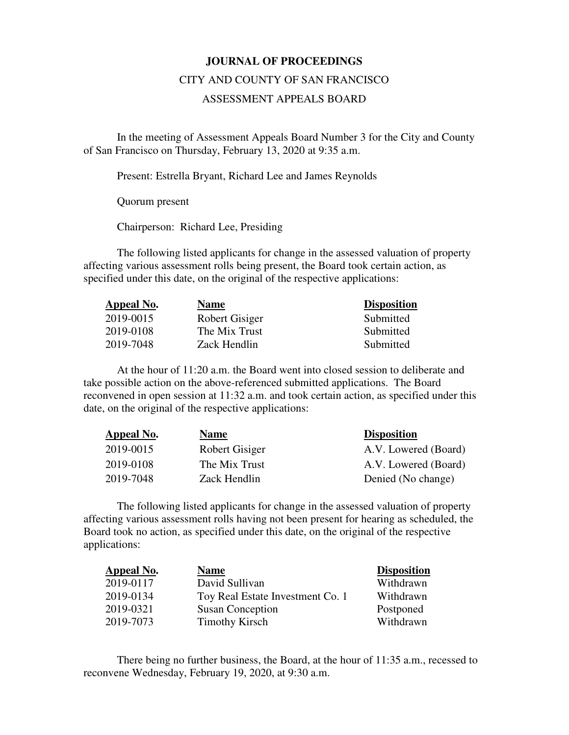## **JOURNAL OF PROCEEDINGS**

## CITY AND COUNTY OF SAN FRANCISCO

## ASSESSMENT APPEALS BOARD

 In the meeting of Assessment Appeals Board Number 3 for the City and County of San Francisco on Thursday, February 13, 2020 at 9:35 a.m.

Present: Estrella Bryant, Richard Lee and James Reynolds

Quorum present

Chairperson: Richard Lee, Presiding

The following listed applicants for change in the assessed valuation of property affecting various assessment rolls being present, the Board took certain action, as specified under this date, on the original of the respective applications:

| Appeal No. | <b>Name</b>    | <b>Disposition</b> |
|------------|----------------|--------------------|
| 2019-0015  | Robert Gisiger | Submitted          |
| 2019-0108  | The Mix Trust  | Submitted          |
| 2019-7048  | Zack Hendlin   | Submitted          |

At the hour of 11:20 a.m. the Board went into closed session to deliberate and take possible action on the above-referenced submitted applications. The Board reconvened in open session at 11:32 a.m. and took certain action, as specified under this date, on the original of the respective applications:

| Appeal No. | <b>Name</b>    | <b>Disposition</b>   |
|------------|----------------|----------------------|
| 2019-0015  | Robert Gisiger | A.V. Lowered (Board) |
| 2019-0108  | The Mix Trust  | A.V. Lowered (Board) |
| 2019-7048  | Zack Hendlin   | Denied (No change)   |

The following listed applicants for change in the assessed valuation of property affecting various assessment rolls having not been present for hearing as scheduled, the Board took no action, as specified under this date, on the original of the respective applications:

| <b>Appeal No.</b> | <b>Name</b>                      | <b>Disposition</b> |
|-------------------|----------------------------------|--------------------|
| 2019-0117         | David Sullivan                   | Withdrawn          |
| 2019-0134         | Toy Real Estate Investment Co. 1 | Withdrawn          |
| 2019-0321         | <b>Susan Conception</b>          | Postponed          |
| 2019-7073         | <b>Timothy Kirsch</b>            | Withdrawn          |

There being no further business, the Board, at the hour of 11:35 a.m., recessed to reconvene Wednesday, February 19, 2020, at 9:30 a.m.